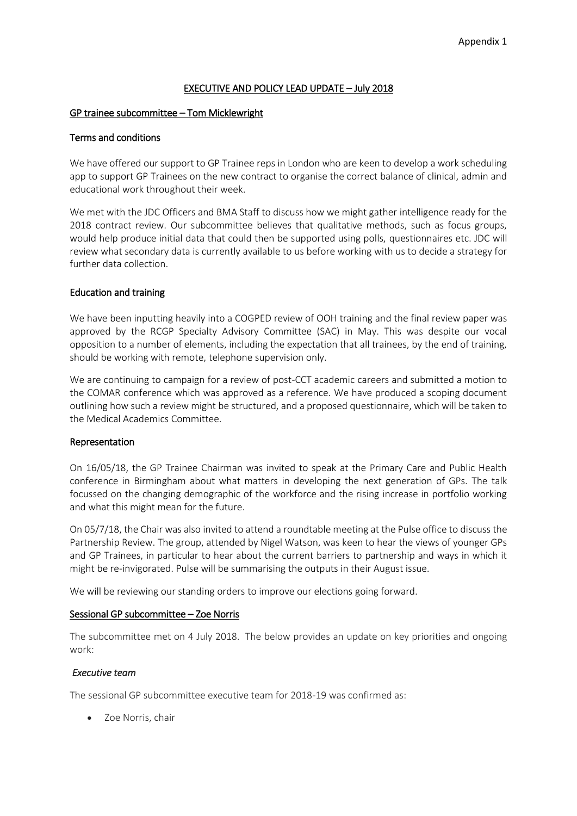### EXECUTIVE AND POLICY LEAD UPDATE – July 2018

### GP trainee subcommittee – Tom Micklewright

#### Terms and conditions

We have offered our support to GP Trainee reps in London who are keen to develop a work scheduling app to support GP Trainees on the new contract to organise the correct balance of clinical, admin and educational work throughout their week.

We met with the JDC Officers and BMA Staff to discuss how we might gather intelligence ready for the 2018 contract review. Our subcommittee believes that qualitative methods, such as focus groups, would help produce initial data that could then be supported using polls, questionnaires etc. JDC will review what secondary data is currently available to us before working with us to decide a strategy for further data collection.

### Education and training

We have been inputting heavily into a COGPED review of OOH training and the final review paper was approved by the RCGP Specialty Advisory Committee (SAC) in May. This was despite our vocal opposition to a number of elements, including the expectation that all trainees, by the end of training, should be working with remote, telephone supervision only.

We are continuing to campaign for a review of post-CCT academic careers and submitted a motion to the COMAR conference which was approved as a reference. We have produced a scoping document outlining how such a review might be structured, and a proposed questionnaire, which will be taken to the Medical Academics Committee.

#### Representation

On 16/05/18, the GP Trainee Chairman was invited to speak at the Primary Care and Public Health conference in Birmingham about what matters in developing the next generation of GPs. The talk focussed on the changing demographic of the workforce and the rising increase in portfolio working and what this might mean for the future.

On 05/7/18, the Chair was also invited to attend a roundtable meeting at the Pulse office to discuss the Partnership Review. The group, attended by Nigel Watson, was keen to hear the views of younger GPs and GP Trainees, in particular to hear about the current barriers to partnership and ways in which it might be re-invigorated. Pulse will be summarising the outputs in their August issue.

We will be reviewing our standing orders to improve our elections going forward.

#### Sessional GP subcommittee – Zoe Norris

The subcommittee met on 4 July 2018. The below provides an update on key priorities and ongoing work:

### *Executive team*

The sessional GP subcommittee executive team for 2018-19 was confirmed as:

• Zoe Norris, chair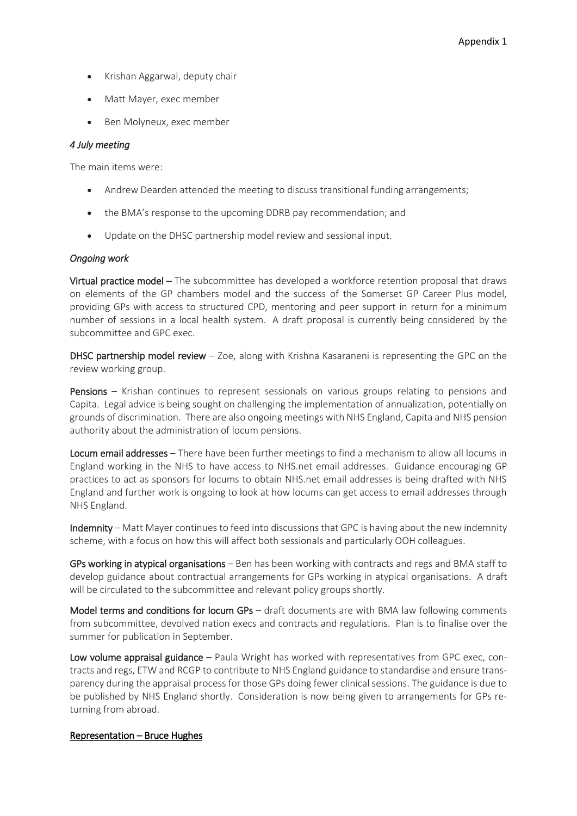- Krishan Aggarwal, deputy chair
- Matt Mayer, exec member
- Ben Molyneux, exec member

### *4 July meeting*

The main items were:

- Andrew Dearden attended the meeting to discuss transitional funding arrangements;
- the BMA's response to the upcoming DDRB pay recommendation; and
- Update on the DHSC partnership model review and sessional input.

### *Ongoing work*

Virtual practice model – The subcommittee has developed a workforce retention proposal that draws on elements of the GP chambers model and the success of the Somerset GP Career Plus model, providing GPs with access to structured CPD, mentoring and peer support in return for a minimum number of sessions in a local health system. A draft proposal is currently being considered by the subcommittee and GPC exec.

**DHSC partnership model review**  $-$  Zoe, along with Krishna Kasaraneni is representing the GPC on the review working group.

Pensions – Krishan continues to represent sessionals on various groups relating to pensions and Capita. Legal advice is being sought on challenging the implementation of annualization, potentially on grounds of discrimination. There are also ongoing meetings with NHS England, Capita and NHS pension authority about the administration of locum pensions.

Locum email addresses – There have been further meetings to find a mechanism to allow all locums in England working in the NHS to have access to NHS.net email addresses. Guidance encouraging GP practices to act as sponsors for locums to obtain NHS.net email addresses is being drafted with NHS England and further work is ongoing to look at how locums can get access to email addresses through NHS England.

Indemnity – Matt Mayer continues to feed into discussions that GPC is having about the new indemnity scheme, with a focus on how this will affect both sessionals and particularly OOH colleagues.

GPs working in atypical organisations – Ben has been working with contracts and regs and BMA staff to develop guidance about contractual arrangements for GPs working in atypical organisations. A draft will be circulated to the subcommittee and relevant policy groups shortly.

Model terms and conditions for locum GPs – draft documents are with BMA law following comments from subcommittee, devolved nation execs and contracts and regulations. Plan is to finalise over the summer for publication in September.

Low volume appraisal guidance – Paula Wright has worked with representatives from GPC exec, contracts and regs, ETW and RCGP to contribute to NHS England guidance to standardise and ensure transparency during the appraisal process for those GPs doing fewer clinical sessions. The guidance is due to be published by NHS England shortly. Consideration is now being given to arrangements for GPs returning from abroad.

### Representation – Bruce Hughes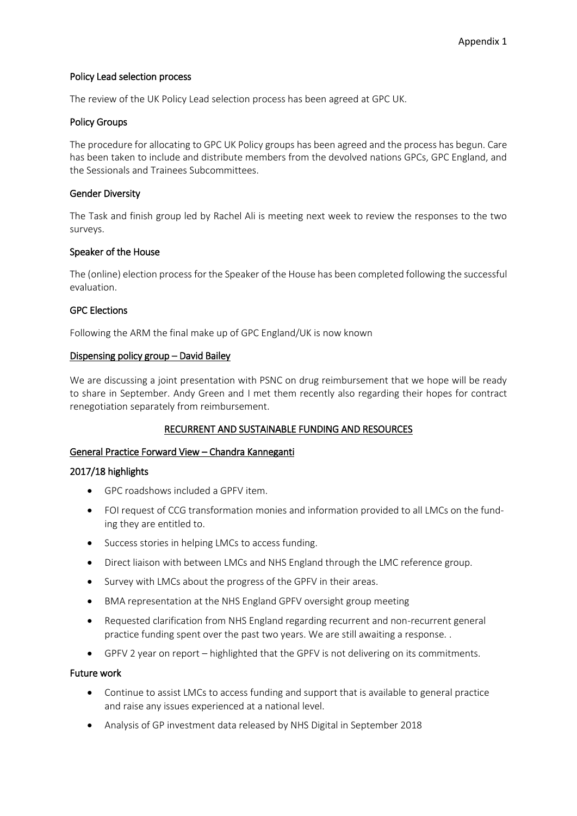### Policy Lead selection process

The review of the UK Policy Lead selection process has been agreed at GPC UK.

### Policy Groups

The procedure for allocating to GPC UK Policy groups has been agreed and the process has begun. Care has been taken to include and distribute members from the devolved nations GPCs, GPC England, and the Sessionals and Trainees Subcommittees.

### Gender Diversity

The Task and finish group led by Rachel Ali is meeting next week to review the responses to the two surveys.

### Speaker of the House

The (online) election process for the Speaker of the House has been completed following the successful evaluation.

### GPC Elections

Following the ARM the final make up of GPC England/UK is now known

### Dispensing policy group – David Bailey

We are discussing a joint presentation with PSNC on drug reimbursement that we hope will be ready to share in September. Andy Green and I met them recently also regarding their hopes for contract renegotiation separately from reimbursement.

## RECURRENT AND SUSTAINABLE FUNDING AND RESOURCES

## General Practice Forward View – Chandra Kanneganti

## 2017/18 highlights

- GPC roadshows included a GPFV item.
- FOI request of CCG transformation monies and information provided to all LMCs on the funding they are entitled to.
- Success stories in helping LMCs to access funding.
- Direct liaison with between LMCs and NHS England through the LMC reference group.
- Survey with LMCs about the progress of the GPFV in their areas.
- BMA representation at the NHS England GPFV oversight group meeting
- Requested clarification from NHS England regarding recurrent and non-recurrent general practice funding spent over the past two years. We are still awaiting a response. .
- GPFV 2 year on report highlighted that the GPFV is not delivering on its commitments.

### Future work

- Continue to assist LMCs to access funding and support that is available to general practice and raise any issues experienced at a national level.
- Analysis of GP investment data released by NHS Digital in September 2018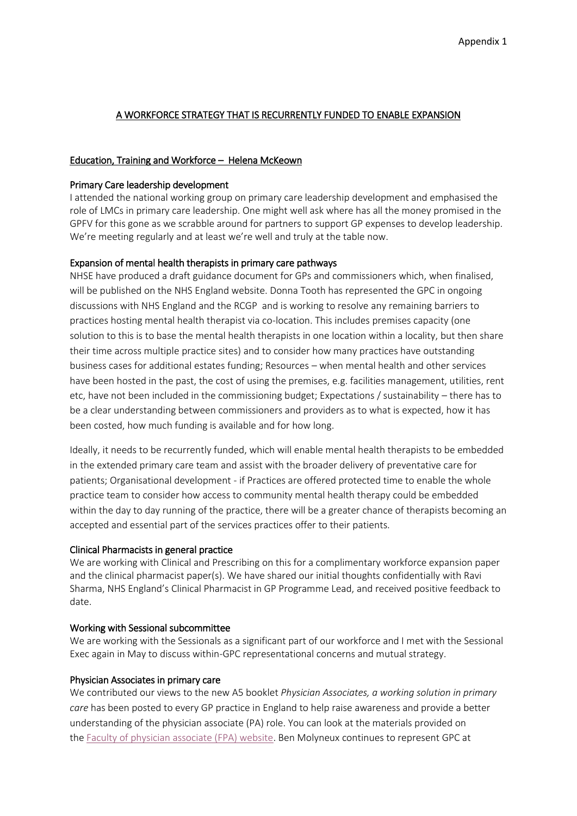## A WORKFORCE STRATEGY THAT IS RECURRENTLY FUNDED TO ENABLE EXPANSION

## Education, Training and Workforce – Helena McKeown

### Primary Care leadership development

I attended the national working group on primary care leadership development and emphasised the role of LMCs in primary care leadership. One might well ask where has all the money promised in the GPFV for this gone as we scrabble around for partners to support GP expenses to develop leadership. We're meeting regularly and at least we're well and truly at the table now.

### Expansion of mental health therapists in primary care pathways

NHSE have produced a draft guidance document for GPs and commissioners which, when finalised, will be published on the NHS England website. Donna Tooth has represented the GPC in ongoing discussions with NHS England and the RCGP and is working to resolve any remaining barriers to practices hosting mental health therapist via co-location. This includes premises capacity (one solution to this is to base the mental health therapists in one location within a locality, but then share their time across multiple practice sites) and to consider how many practices have outstanding business cases for additional estates funding; Resources – when mental health and other services have been hosted in the past, the cost of using the premises, e.g. facilities management, utilities, rent etc, have not been included in the commissioning budget; Expectations / sustainability – there has to be a clear understanding between commissioners and providers as to what is expected, how it has been costed, how much funding is available and for how long.

Ideally, it needs to be recurrently funded, which will enable mental health therapists to be embedded in the extended primary care team and assist with the broader delivery of preventative care for patients; Organisational development - if Practices are offered protected time to enable the whole practice team to consider how access to community mental health therapy could be embedded within the day to day running of the practice, there will be a greater chance of therapists becoming an accepted and essential part of the services practices offer to their patients.

### Clinical Pharmacists in general practice

We are working with Clinical and Prescribing on this for a complimentary workforce expansion paper and the clinical pharmacist paper(s). We have shared our initial thoughts confidentially with Ravi Sharma, NHS England's Clinical Pharmacist in GP Programme Lead, and received positive feedback to date.

### Working with Sessional subcommittee

We are working with the Sessionals as a significant part of our workforce and I met with the Sessional Exec again in May to discuss within-GPC representational concerns and mutual strategy.

### Physician Associates in primary care

We contributed our views to the new A5 booklet *Physician Associates, a working solution in primary care* has been posted to every GP practice in England to help raise awareness and provide a better understanding of the physician associate (PA) role. You can look at the materials provided on the [Faculty of physician associate \(FPA\) website.](http://www.fparcp.co.uk/employers/pas-in-general-practice) Ben Molyneux continues to represent GPC at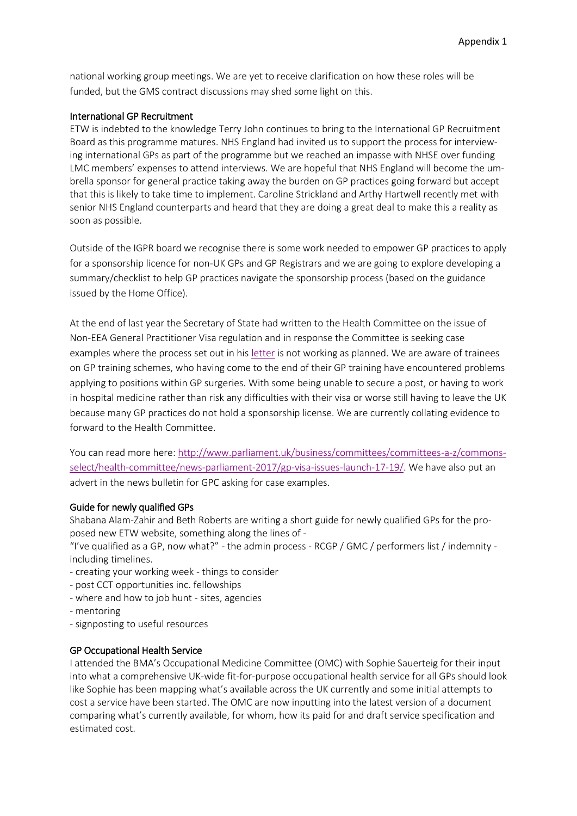national working group meetings. We are yet to receive clarification on how these roles will be funded, but the GMS contract discussions may shed some light on this.

### International GP Recruitment

ETW is indebted to the knowledge Terry John continues to bring to the International GP Recruitment Board as this programme matures. NHS England had invited us to support the process for interviewing international GPs as part of the programme but we reached an impasse with NHSE over funding LMC members' expenses to attend interviews. We are hopeful that NHS England will become the umbrella sponsor for general practice taking away the burden on GP practices going forward but accept that this is likely to take time to implement. Caroline Strickland and Arthy Hartwell recently met with senior NHS England counterparts and heard that they are doing a great deal to make this a reality as soon as possible.

Outside of the IGPR board we recognise there is some work needed to empower GP practices to apply for a sponsorship licence for non-UK GPs and GP Registrars and we are going to explore developing a summary/checklist to help GP practices navigate the sponsorship process (based on the guidance issued by the Home Office).

At the end of last year the Secretary of State had written to the Health Committee on the issue of Non-EEA General Practitioner Visa regulation and in response the Committee is seeking case examples where the process set out in his [letter](https://www.parliament.uk/documents/commons-committees/Health/Correspondence/2017-19/Letter-from-Secretary-of-State-for-health-to-Chair-of-Committee-Visa-restrictions-for-non-EU-Doctors-19-October-2017.pdf) is not working as planned. We are aware of trainees on GP training schemes, who having come to the end of their GP training have encountered problems applying to positions within GP surgeries. With some being unable to secure a post, or having to work in hospital medicine rather than risk any difficulties with their visa or worse still having to leave the UK because many GP practices do not hold a sponsorship license. We are currently collating evidence to forward to the Health Committee.

You can read more here[: http://www.parliament.uk/business/committees/committees-a-z/commons](http://www.parliament.uk/business/committees/committees-a-z/commons-select/health-committee/news-parliament-2017/gp-visa-issues-launch-17-19/)[select/health-committee/news-parliament-2017/gp-visa-issues-launch-17-19/.](http://www.parliament.uk/business/committees/committees-a-z/commons-select/health-committee/news-parliament-2017/gp-visa-issues-launch-17-19/) We have also put an advert in the news bulletin for GPC asking for case examples.

### Guide for newly qualified GPs

Shabana Alam-Zahir and Beth Roberts are writing a short guide for newly qualified GPs for the proposed new ETW website, something along the lines of -

"I've qualified as a GP, now what?" - the admin process - RCGP / GMC / performers list / indemnity including timelines.

- creating your working week things to consider
- post CCT opportunities inc. fellowships
- where and how to job hunt sites, agencies
- mentoring
- signposting to useful resources

### GP Occupational Health Service

I attended the BMA's Occupational Medicine Committee (OMC) with Sophie Sauerteig for their input into what a comprehensive UK-wide fit-for-purpose occupational health service for all GPs should look like Sophie has been mapping what's available across the UK currently and some initial attempts to cost a service have been started. The OMC are now inputting into the latest version of a document comparing what's currently available, for whom, how its paid for and draft service specification and estimated cost.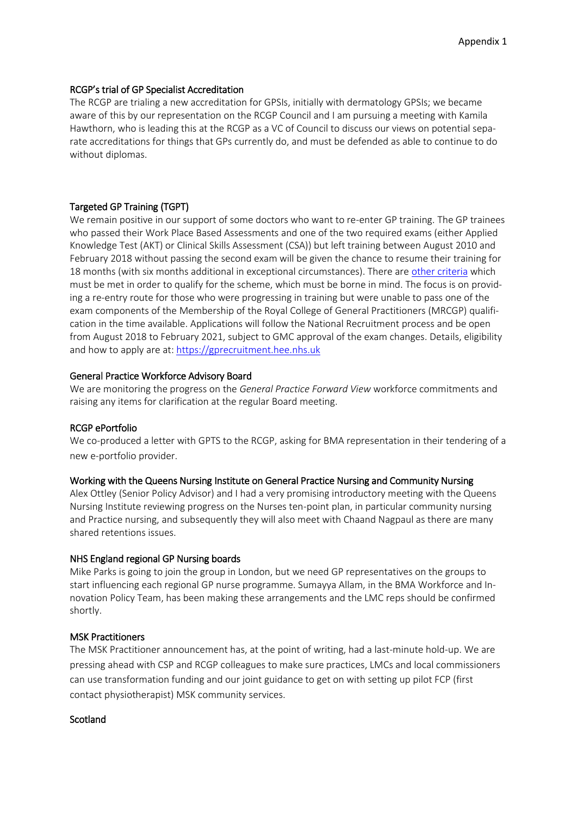### RCGP's trial of GP Specialist Accreditation

The RCGP are trialing a new accreditation for GPSIs, initially with dermatology GPSIs; we became aware of this by our representation on the RCGP Council and I am pursuing a meeting with Kamila Hawthorn, who is leading this at the RCGP as a VC of Council to discuss our views on potential separate accreditations for things that GPs currently do, and must be defended as able to continue to do without diplomas.

## Targeted GP Training (TGPT)

We remain positive in our support of some doctors who want to re-enter GP training. The GP trainees who passed their Work Place Based Assessments and one of the two required exams (either Applied Knowledge Test (AKT) or Clinical Skills Assessment (CSA)) but left training between August 2010 and February 2018 without passing the second exam will be given the chance to resume their training for 18 months (with six months additional in exceptional circumstances). There ar[e other criteria](https://hee.nhs.uk/our-work/targeted-gp-training-scheme) which must be met in order to qualify for the scheme, which must be borne in mind. The focus is on providing a re-entry route for those who were progressing in training but were unable to pass one of the exam components of the Membership of the Royal College of General Practitioners (MRCGP) qualification in the time available. Applications will follow the National Recruitment process and be open from August 2018 to February 2021, subject to GMC approval of the exam changes. Details, eligibility and how to apply are at: [https://gprecruitment.hee.nhs.uk](https://gprecruitment.hee.nhs.uk/)

### General Practice Workforce Advisory Board

We are monitoring the progress on the *General Practice Forward View* workforce commitments and raising any items for clarification at the regular Board meeting.

### RCGP ePortfolio

We co-produced a letter with GPTS to the RCGP, asking for BMA representation in their tendering of a new e-portfolio provider.

### Working with the Queens Nursing Institute on General Practice Nursing and Community Nursing

Alex Ottley (Senior Policy Advisor) and I had a very promising introductory meeting with the Queens Nursing Institute reviewing progress on the Nurses ten-point plan, in particular community nursing and Practice nursing, and subsequently they will also meet with Chaand Nagpaul as there are many shared retentions issues.

## NHS England regional GP Nursing boards

Mike Parks is going to join the group in London, but we need GP representatives on the groups to start influencing each regional GP nurse programme. Sumayya Allam, in the BMA Workforce and Innovation Policy Team, has been making these arrangements and the LMC reps should be confirmed shortly.

## MSK Practitioners

The MSK Practitioner announcement has, at the point of writing, had a last-minute hold-up. We are pressing ahead with CSP and RCGP colleagues to make sure practices, LMCs and local commissioners can use transformation funding and our joint guidance to get on with setting up pilot FCP (first contact physiotherapist) MSK community services.

### **Scotland**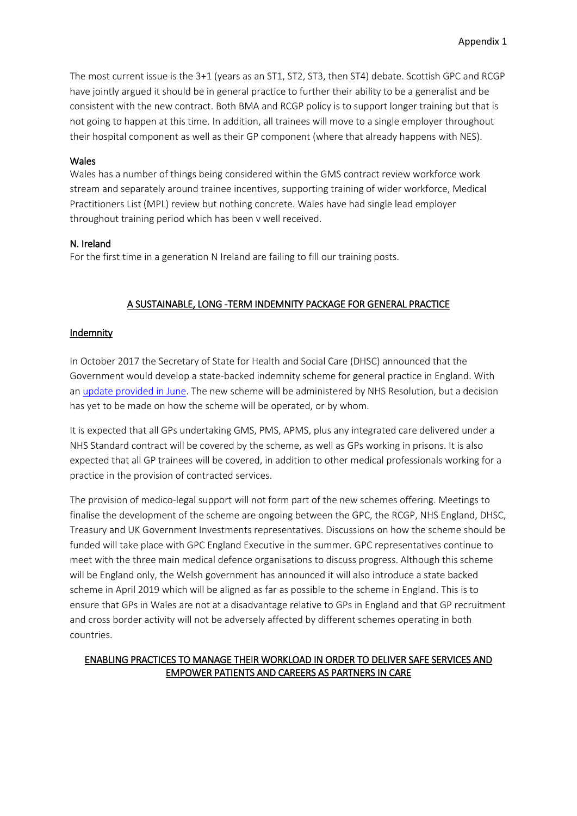The most current issue is the 3+1 (years as an ST1, ST2, ST3, then ST4) debate. Scottish GPC and RCGP have jointly argued it should be in general practice to further their ability to be a generalist and be consistent with the new contract. Both BMA and RCGP policy is to support longer training but that is not going to happen at this time. In addition, all trainees will move to a single employer throughout their hospital component as well as their GP component (where that already happens with NES).

### Wales

Wales has a number of things being considered within the GMS contract review workforce work stream and separately around trainee incentives, supporting training of wider workforce, Medical Practitioners List (MPL) review but nothing concrete. Wales have had single lead employer throughout training period which has been v well received.

#### N. Ireland

For the first time in a generation N Ireland are failing to fill our training posts.

## A SUSTAINABLE, LONG -TERM INDEMNITY PACKAGE FOR GENERAL PRACTICE

### Indemnity

In October 2017 the Secretary of State for Health and Social Care (DHSC) announced that the Government would develop a state-backed indemnity scheme for general practice in England. With an [update provided in June.](https://healthmedia.blog.gov.uk/2018/06/13/update-on-gp-indemnity-scheme/) The new scheme will be administered by NHS Resolution, but a decision has yet to be made on how the scheme will be operated, or by whom.

It is expected that all GPs undertaking GMS, PMS, APMS, plus any integrated care delivered under a NHS Standard contract will be covered by the scheme, as well as GPs working in prisons. It is also expected that all GP trainees will be covered, in addition to other medical professionals working for a practice in the provision of contracted services.

The provision of medico-legal support will not form part of the new schemes offering. Meetings to finalise the development of the scheme are ongoing between the GPC, the RCGP, NHS England, DHSC, Treasury and UK Government Investments representatives. Discussions on how the scheme should be funded will take place with GPC England Executive in the summer. GPC representatives continue to meet with the three main medical defence organisations to discuss progress. Although this scheme will be England only, the Welsh government has announced it will also introduce a state backed scheme in April 2019 which will be aligned as far as possible to the scheme in England. This is to ensure that GPs in Wales are not at a disadvantage relative to GPs in England and that GP recruitment and cross border activity will not be adversely affected by different schemes operating in both countries.

### ENABLING PRACTICES TO MANAGE THEIR WORKLOAD IN ORDER TO DELIVER SAFE SERVICES AND EMPOWER PATIENTS AND CAREERS AS PARTNERS IN CARE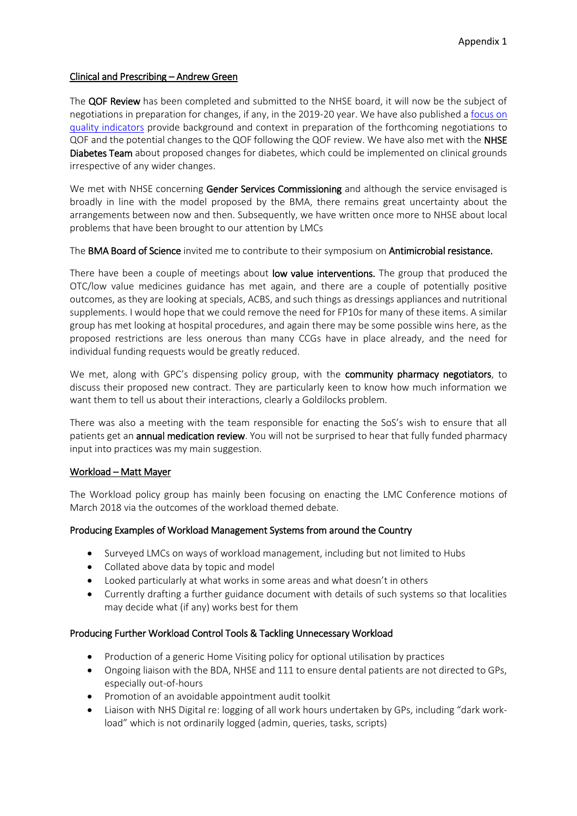### Clinical and Prescribing – Andrew Green

The QOF Review has been completed and submitted to the NHSE board, it will now be the subject of negotiations in preparation for changes, if any, in the 2019-20 year. We have also published a [focus on](https://www.bma.org.uk/-/media/files/pdfs/collective%20voice/committees/gpc/priorities/focus-on-gp-quality-indicators.pdf?la=en)  [quality indicators](https://www.bma.org.uk/-/media/files/pdfs/collective%20voice/committees/gpc/priorities/focus-on-gp-quality-indicators.pdf?la=en) provide background and context in preparation of the forthcoming negotiations to QOF and the potential changes to the QOF following the QOF review. We have also met with the NHSE Diabetes Team about proposed changes for diabetes, which could be implemented on clinical grounds irrespective of any wider changes.

We met with NHSE concerning Gender Services Commissioning and although the service envisaged is broadly in line with the model proposed by the BMA, there remains great uncertainty about the arrangements between now and then. Subsequently, we have written once more to NHSE about local problems that have been brought to our attention by LMCs

The BMA Board of Science invited me to contribute to their symposium on Antimicrobial resistance.

There have been a couple of meetings about low value interventions. The group that produced the OTC/low value medicines guidance has met again, and there are a couple of potentially positive outcomes, as they are looking at specials, ACBS, and such things as dressings appliances and nutritional supplements. I would hope that we could remove the need for FP10s for many of these items. A similar group has met looking at hospital procedures, and again there may be some possible wins here, as the proposed restrictions are less onerous than many CCGs have in place already, and the need for individual funding requests would be greatly reduced.

We met, along with GPC's dispensing policy group, with the community pharmacy negotiators, to discuss their proposed new contract. They are particularly keen to know how much information we want them to tell us about their interactions, clearly a Goldilocks problem.

There was also a meeting with the team responsible for enacting the SoS's wish to ensure that all patients get an **annual medication review**. You will not be surprised to hear that fully funded pharmacy input into practices was my main suggestion.

### Workload – Matt Mayer

The Workload policy group has mainly been focusing on enacting the LMC Conference motions of March 2018 via the outcomes of the workload themed debate.

## Producing Examples of Workload Management Systems from around the Country

- Surveyed LMCs on ways of workload management, including but not limited to Hubs
- Collated above data by topic and model
- Looked particularly at what works in some areas and what doesn't in others
- Currently drafting a further guidance document with details of such systems so that localities may decide what (if any) works best for them

## Producing Further Workload Control Tools & Tackling Unnecessary Workload

- Production of a generic Home Visiting policy for optional utilisation by practices
- Ongoing liaison with the BDA, NHSE and 111 to ensure dental patients are not directed to GPs, especially out-of-hours
- Promotion of an avoidable appointment audit toolkit
- Liaison with NHS Digital re: logging of all work hours undertaken by GPs, including "dark workload" which is not ordinarily logged (admin, queries, tasks, scripts)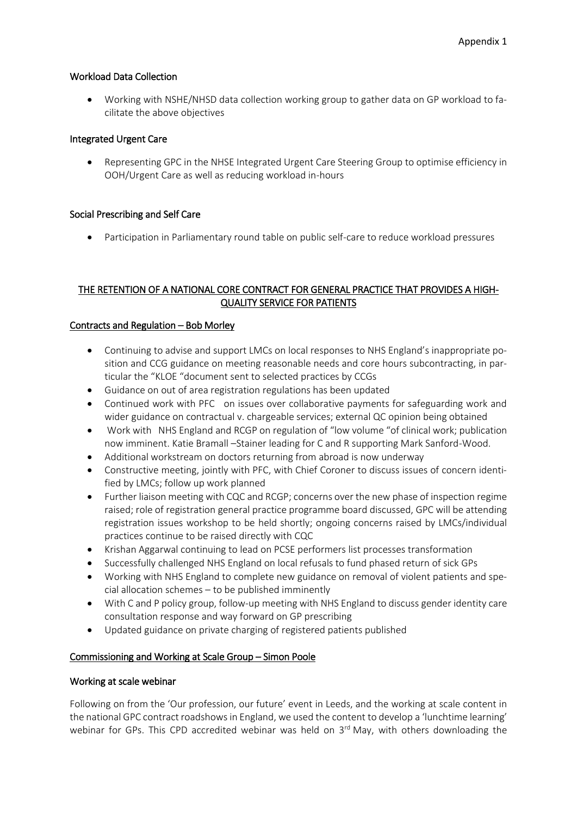## Workload Data Collection

• Working with NSHE/NHSD data collection working group to gather data on GP workload to facilitate the above objectives

### Integrated Urgent Care

• Representing GPC in the NHSE Integrated Urgent Care Steering Group to optimise efficiency in OOH/Urgent Care as well as reducing workload in-hours

### Social Prescribing and Self Care

• Participation in Parliamentary round table on public self-care to reduce workload pressures

# THE RETENTION OF A NATIONAL CORE CONTRACT FOR GENERAL PRACTICE THAT PROVIDES A HIGH-QUALITY SERVICE FOR PATIENTS

### Contracts and Regulation – Bob Morley

- Continuing to advise and support LMCs on local responses to NHS England's inappropriate position and CCG guidance on meeting reasonable needs and core hours subcontracting, in particular the "KLOE "document sent to selected practices by CCGs
- Guidance on out of area registration regulations has been updated
- Continued work with PFC on issues over collaborative payments for safeguarding work and wider guidance on contractual v. chargeable services; external QC opinion being obtained
- Work with NHS England and RCGP on regulation of "low volume "of clinical work; publication now imminent. Katie Bramall –Stainer leading for C and R supporting Mark Sanford-Wood.
- Additional workstream on doctors returning from abroad is now underway
- Constructive meeting, jointly with PFC, with Chief Coroner to discuss issues of concern identified by LMCs; follow up work planned
- Further liaison meeting with CQC and RCGP; concerns over the new phase of inspection regime raised; role of registration general practice programme board discussed, GPC will be attending registration issues workshop to be held shortly; ongoing concerns raised by LMCs/individual practices continue to be raised directly with CQC
- Krishan Aggarwal continuing to lead on PCSE performers list processes transformation
- Successfully challenged NHS England on local refusals to fund phased return of sick GPs
- Working with NHS England to complete new guidance on removal of violent patients and special allocation schemes – to be published imminently
- With C and P policy group, follow-up meeting with NHS England to discuss gender identity care consultation response and way forward on GP prescribing
- Updated guidance on private charging of registered patients published

## Commissioning and Working at Scale Group – Simon Poole

### Working at scale webinar

Following on from the 'Our profession, our future' event in Leeds, and the working at scale content in the national GPC contract roadshows in England, we used the content to develop a 'lunchtime learning' webinar for GPs. This CPD accredited webinar was held on  $3<sup>rd</sup>$  May, with others downloading the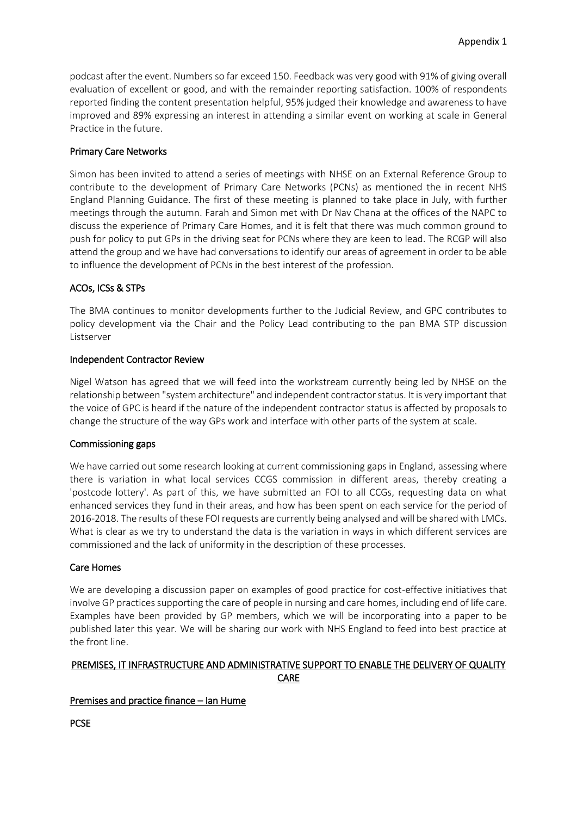podcast after the event. Numbers so far exceed 150. Feedback was very good with 91% of giving overall evaluation of excellent or good, and with the remainder reporting satisfaction. 100% of respondents reported finding the content presentation helpful, 95% judged their knowledge and awareness to have improved and 89% expressing an interest in attending a similar event on working at scale in General Practice in the future.

## Primary Care Networks

Simon has been invited to attend a series of meetings with NHSE on an External Reference Group to contribute to the development of Primary Care Networks (PCNs) as mentioned the in recent NHS England Planning Guidance. The first of these meeting is planned to take place in July, with further meetings through the autumn. Farah and Simon met with Dr Nav Chana at the offices of the NAPC to discuss the experience of Primary Care Homes, and it is felt that there was much common ground to push for policy to put GPs in the driving seat for PCNs where they are keen to lead. The RCGP will also attend the group and we have had conversations to identify our areas of agreement in order to be able to influence the development of PCNs in the best interest of the profession.

# ACOs, ICSs & STPs

The BMA continues to monitor developments further to the Judicial Review, and GPC contributes to policy development via the Chair and the Policy Lead contributing to the pan BMA STP discussion Listserver

## Independent Contractor Review

Nigel Watson has agreed that we will feed into the workstream currently being led by NHSE on the relationship between "system architecture" and independent contractor status. It is very important that the voice of GPC is heard if the nature of the independent contractor status is affected by proposals to change the structure of the way GPs work and interface with other parts of the system at scale.

## Commissioning gaps

We have carried out some research looking at current commissioning gaps in England, assessing where there is variation in what local services CCGS commission in different areas, thereby creating a 'postcode lottery'. As part of this, we have submitted an FOI to all CCGs, requesting data on what enhanced services they fund in their areas, and how has been spent on each service for the period of 2016-2018. The results of these FOI requests are currently being analysed and will be shared with LMCs. What is clear as we try to understand the data is the variation in ways in which different services are commissioned and the lack of uniformity in the description of these processes.

## Care Homes

We are developing a discussion paper on examples of good practice for cost-effective initiatives that involve GP practices supporting the care of people in nursing and care homes, including end of life care. Examples have been provided by GP members, which we will be incorporating into a paper to be published later this year. We will be sharing our work with NHS England to feed into best practice at the front line.

# PREMISES, IT INFRASTRUCTURE AND ADMINISTRATIVE SUPPORT TO ENABLE THE DELIVERY OF QUALITY CARE

## Premises and practice finance – Ian Hume

**PCSE**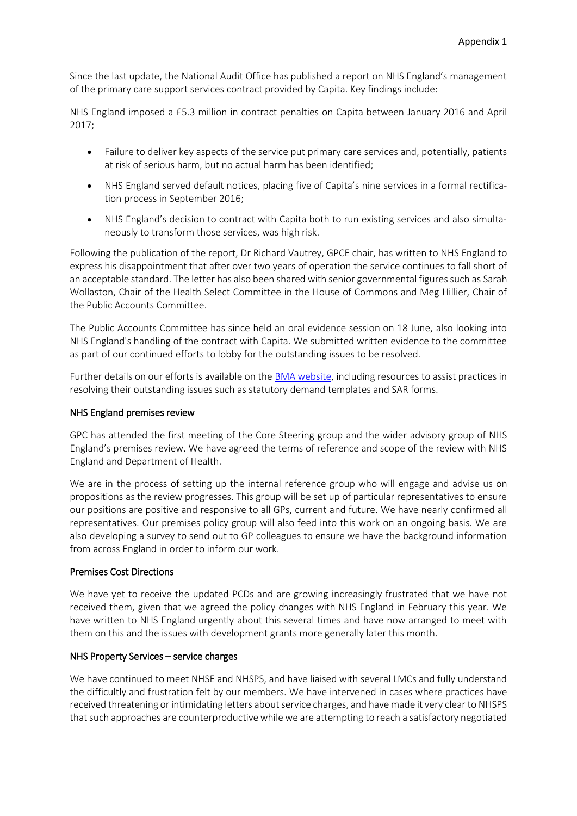Since the last update, the National Audit Office has published a report on NHS England's management of the primary care support services contract provided by Capita. Key findings include:

NHS England imposed a £5.3 million in contract penalties on Capita between January 2016 and April 2017;

- Failure to deliver key aspects of the service put primary care services and, potentially, patients at risk of serious harm, but no actual harm has been identified;
- NHS England served default notices, placing five of Capita's nine services in a formal rectification process in September 2016;
- NHS England's decision to contract with Capita both to run existing services and also simultaneously to transform those services, was high risk.

Following the publication of the report, Dr Richard Vautrey, GPCE chair, has written to NHS England to express his disappointment that after over two years of operation the service continues to fall short of an acceptable standard. The letter has also been shared with senior governmental figures such as Sarah Wollaston, Chair of the Health Select Committee in the House of Commons and Meg Hillier, Chair of the Public Accounts Committee.

The Public Accounts Committee has since held an oral evidence session on 18 June, also looking into NHS England's handling of the contract with Capita. We submitted written evidence to the committee as part of our continued efforts to lobby for the outstanding issues to be resolved.

Further details on our efforts is available on th[e BMA website,](https://www.bma.org.uk/collective-voice/committees/general-practitioners-committee/gpc-current-issues/capita-service-failure) including resources to assist practices in resolving their outstanding issues such as statutory demand templates and SAR forms.

### NHS England premises review

GPC has attended the first meeting of the Core Steering group and the wider advisory group of NHS England's premises review. We have agreed the terms of reference and scope of the review with NHS England and Department of Health.

We are in the process of setting up the internal reference group who will engage and advise us on propositions as the review progresses. This group will be set up of particular representatives to ensure our positions are positive and responsive to all GPs, current and future. We have nearly confirmed all representatives. Our premises policy group will also feed into this work on an ongoing basis. We are also developing a survey to send out to GP colleagues to ensure we have the background information from across England in order to inform our work.

### Premises Cost Directions

We have yet to receive the updated PCDs and are growing increasingly frustrated that we have not received them, given that we agreed the policy changes with NHS England in February this year. We have written to NHS England urgently about this several times and have now arranged to meet with them on this and the issues with development grants more generally later this month.

### NHS Property Services – service charges

We have continued to meet NHSE and NHSPS, and have liaised with several LMCs and fully understand the difficultly and frustration felt by our members. We have intervened in cases where practices have received threatening or intimidating letters about service charges, and have made it very clear to NHSPS that such approaches are counterproductive while we are attempting to reach a satisfactory negotiated